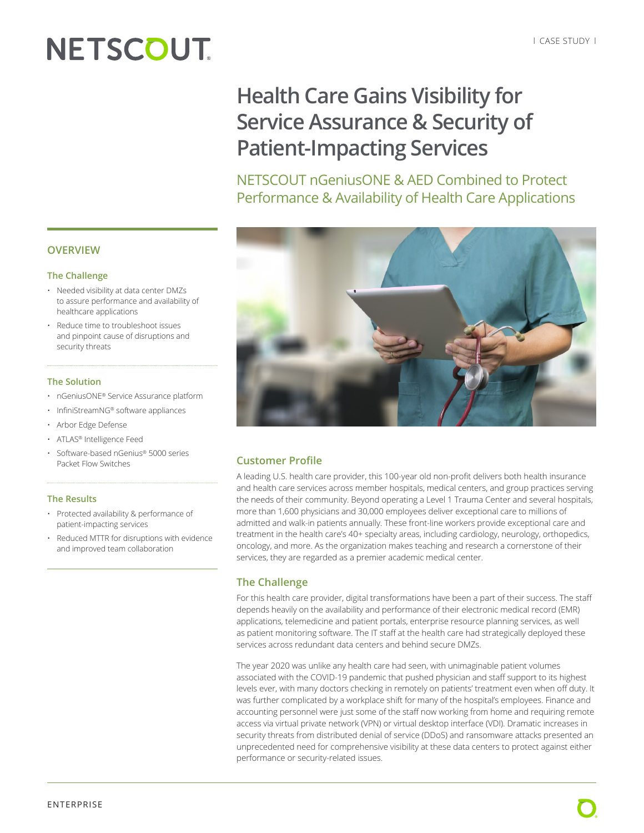# **NETSCOUT**

# **Health Care Gains Visibility for Service Assurance & Security of Patient-Impacting Services**

NETSCOUT nGeniusONE & AED Combined to Protect Performance & Availability of Health Care Applications



### **Customer Profile**

A leading U.S. health care provider, this 100-year old non-profit delivers both health insurance and health care services across member hospitals, medical centers, and group practices serving the needs of their community. Beyond operating a Level 1 Trauma Center and several hospitals, more than 1,600 physicians and 30,000 employees deliver exceptional care to millions of admitted and walk-in patients annually. These front-line workers provide exceptional care and treatment in the health care's 40+ specialty areas, including cardiology, neurology, orthopedics, oncology, and more. As the organization makes teaching and research a cornerstone of their services, they are regarded as a premier academic medical center.

# **The Challenge**

For this health care provider, digital transformations have been a part of their success. The staff depends heavily on the availability and performance of their electronic medical record (EMR) applications, telemedicine and patient portals, enterprise resource planning services, as well as patient monitoring software. The IT staff at the health care had strategically deployed these services across redundant data centers and behind secure DMZs.

The year 2020 was unlike any health care had seen, with unimaginable patient volumes associated with the COVID-19 pandemic that pushed physician and staff support to its highest levels ever, with many doctors checking in remotely on patients' treatment even when off duty. It was further complicated by a workplace shift for many of the hospital's employees. Finance and accounting personnel were just some of the staff now working from home and requiring remote access via virtual private network (VPN) or virtual desktop interface (VDI). Dramatic increases in security threats from distributed denial of service (DDoS) and ransomware attacks presented an unprecedented need for comprehensive visibility at these data centers to protect against either performance or security-related issues.

### **OVERVIEW**

#### **The Challenge**

- Needed visibility at data center DMZs to assure performance and availability of healthcare applications
- Reduce time to troubleshoot issues and pinpoint cause of disruptions and security threats

#### **The Solution**

- nGeniusONE® Service Assurance platform
- InfiniStreamNG® software appliances
- Arbor Edge Defense
- ATLAS® Intelligence Feed
- Software-based nGenius® 5000 series Packet Flow Switches

#### **The Results**

- Protected availability & performance of patient-impacting services
- Reduced MTTR for disruptions with evidence and improved team collaboration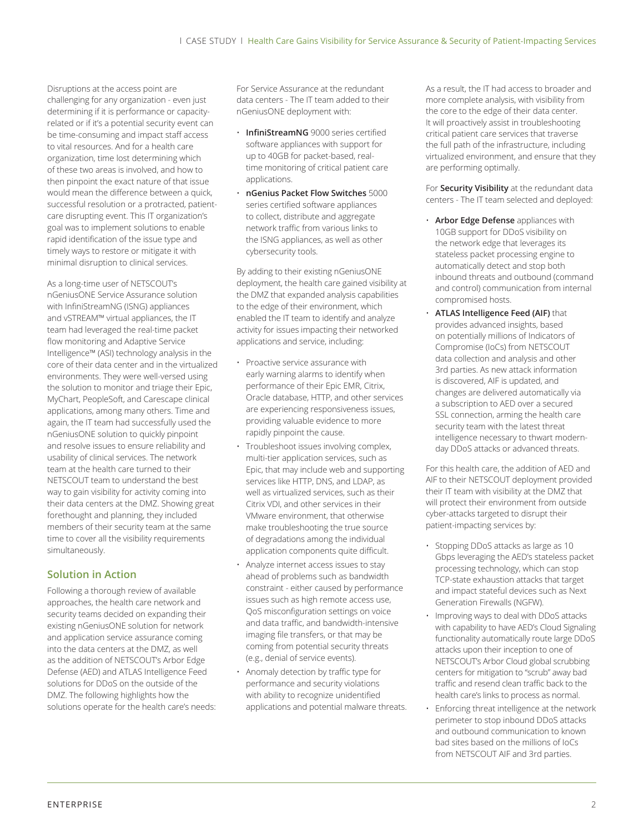Disruptions at the access point are challenging for any organization - even just determining if it is performance or capacityrelated or if it's a potential security event can be time-consuming and impact staff access to vital resources. And for a health care organization, time lost determining which of these two areas is involved, and how to then pinpoint the exact nature of that issue would mean the difference between a quick, successful resolution or a protracted, patientcare disrupting event. This IT organization's goal was to implement solutions to enable rapid identification of the issue type and timely ways to restore or mitigate it with minimal disruption to clinical services.

As a long-time user of NETSCOUT's nGeniusONE Service Assurance solution with InfiniStreamNG (ISNG) appliances and vSTREAM™ virtual appliances, the IT team had leveraged the real-time packet flow monitoring and Adaptive Service Intelligence™ (ASI) technology analysis in the core of their data center and in the virtualized environments. They were well-versed using the solution to monitor and triage their Epic, MyChart, PeopleSoft, and Carescape clinical applications, among many others. Time and again, the IT team had successfully used the nGeniusONE solution to quickly pinpoint and resolve issues to ensure reliability and usability of clinical services. The network team at the health care turned to their NETSCOUT team to understand the best way to gain visibility for activity coming into their data centers at the DMZ. Showing great forethought and planning, they included members of their security team at the same time to cover all the visibility requirements simultaneously.

# **Solution in Action**

Following a thorough review of available approaches, the health care network and security teams decided on expanding their existing nGeniusONE solution for network and application service assurance coming into the data centers at the DMZ, as well as the addition of NETSCOUT's Arbor Edge Defense (AED) and ATLAS Intelligence Feed solutions for DDoS on the outside of the DMZ. The following highlights how the solutions operate for the health care's needs: For Service Assurance at the redundant data centers - The IT team added to their nGeniusONE deployment with:

- **InfiniStreamNG** 9000 series certified software appliances with support for up to 40GB for packet-based, realtime monitoring of critical patient care applications.
- **nGenius Packet Flow Switches** 5000 series certified software appliances to collect, distribute and aggregate network traffic from various links to the ISNG appliances, as well as other cybersecurity tools.

By adding to their existing nGeniusONE deployment, the health care gained visibility at the DMZ that expanded analysis capabilities to the edge of their environment, which enabled the IT team to identify and analyze activity for issues impacting their networked applications and service, including:

- Proactive service assurance with early warning alarms to identify when performance of their Epic EMR, Citrix, Oracle database, HTTP, and other services are experiencing responsiveness issues, providing valuable evidence to more rapidly pinpoint the cause.
- Troubleshoot issues involving complex, multi-tier application services, such as Epic, that may include web and supporting services like HTTP, DNS, and LDAP, as well as virtualized services, such as their Citrix VDI, and other services in their VMware environment, that otherwise make troubleshooting the true source of degradations among the individual application components quite difficult.
- Analyze internet access issues to stay ahead of problems such as bandwidth constraint - either caused by performance issues such as high remote access use, QoS misconfiguration settings on voice and data traffic, and bandwidth-intensive imaging file transfers, or that may be coming from potential security threats (e.g., denial of service events).
- Anomaly detection by traffic type for performance and security violations with ability to recognize unidentified applications and potential malware threats.

As a result, the IT had access to broader and more complete analysis, with visibility from the core to the edge of their data center. It will proactively assist in troubleshooting critical patient care services that traverse the full path of the infrastructure, including virtualized environment, and ensure that they are performing optimally.

For **Security Visibility** at the redundant data centers - The IT team selected and deployed:

- **Arbor Edge Defense** appliances with 10GB support for DDoS visibility on the network edge that leverages its stateless packet processing engine to automatically detect and stop both inbound threats and outbound (command and control) communication from internal compromised hosts.
- **ATLAS Intelligence Feed (AIF)** that provides advanced insights, based on potentially millions of Indicators of Compromise (IoCs) from NETSCOUT data collection and analysis and other 3rd parties. As new attack information is discovered, AIF is updated, and changes are delivered automatically via a subscription to AED over a secured SSL connection, arming the health care security team with the latest threat intelligence necessary to thwart modernday DDoS attacks or advanced threats.

For this health care, the addition of AED and AIF to their NETSCOUT deployment provided their IT team with visibility at the DMZ that will protect their environment from outside cyber-attacks targeted to disrupt their patient-impacting services by:

- Stopping DDoS attacks as large as 10 Gbps leveraging the AED's stateless packet processing technology, which can stop TCP-state exhaustion attacks that target and impact stateful devices such as Next Generation Firewalls (NGFW).
- Improving ways to deal with DDoS attacks with capability to have AED's Cloud Signaling functionality automatically route large DDoS attacks upon their inception to one of NETSCOUT's Arbor Cloud global scrubbing centers for mitigation to "scrub" away bad traffic and resend clean traffic back to the health care's links to process as normal.
- Enforcing threat intelligence at the network perimeter to stop inbound DDoS attacks and outbound communication to known bad sites based on the millions of IoCs from NETSCOUT AIF and 3rd parties.